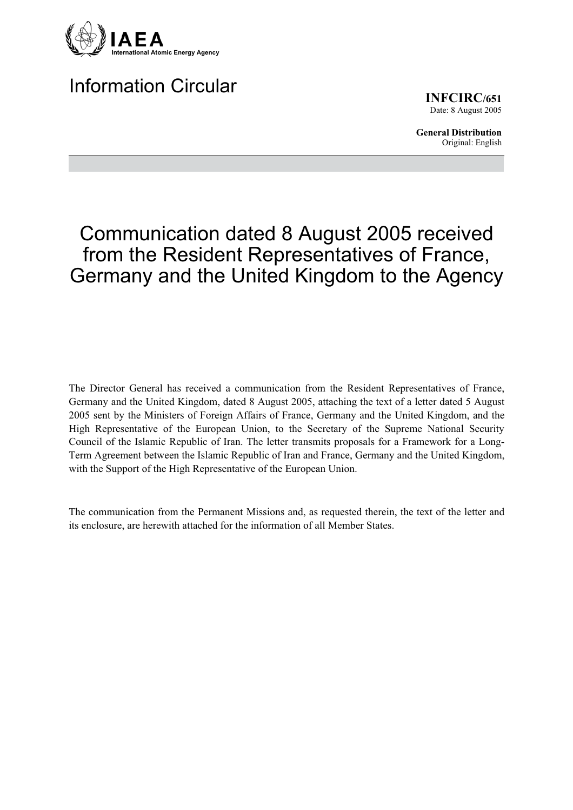

# Information Circular

**INFCIRC/651** Date: 8 August 2005

**General Distribution** Original: English

# Communication dated 8 August 2005 received from the Resident Representatives of France, Germany and the United Kingdom to the Agency

The Director General has received a communication from the Resident Representatives of France, Germany and the United Kingdom, dated 8 August 2005, attaching the text of a letter dated 5 August 2005 sent by the Ministers of Foreign Affairs of France, Germany and the United Kingdom, and the High Representative of the European Union, to the Secretary of the Supreme National Security Council of the Islamic Republic of Iran. The letter transmits proposals for a Framework for a Long-Term Agreement between the Islamic Republic of Iran and France, Germany and the United Kingdom, with the Support of the High Representative of the European Union.

The communication from the Permanent Missions and, as requested therein, the text of the letter and its enclosure, are herewith attached for the information of all Member States.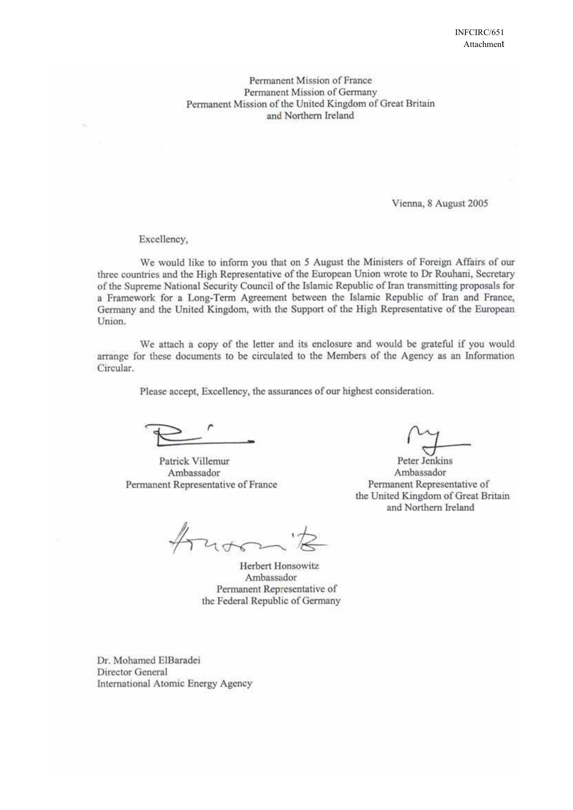Permanent Mission of France Permanent Mission of Germany Permanent Mission of the United Kingdom of Great Britain and Northern Ireland

Vienna, 8 August 2005

Excellency,

We would like to inform you that on 5 August the Ministers of Foreign Affairs of our three countries and the High Representative of the European Union wrote to Dr Rouhani, Secretary of the Supreme National Security Council of the Islamic Republic of Iran transmitting proposals for a Framework for a Long-Term Agreement between the Islamic Republic of Iran and France, Germany and the United Kingdom, with the Support of the High Representative of the European Union.

We attach a copy of the letter and its enclosure and would be grateful if you would arrange for these documents to be circulated to the Members of the Agency as an Information Circular.

Please accept, Excellency, the assurances of our highest consideration.

Patrick Villemur Ambassador Permanent Representative of France

Herbert Honsowitz Ambassador Permanent Representative of the Federal Republic of Germany

Dr. Mohamed ElBaradei Director General International Atomic Energy Agency

Peter Jenkins Ambassador Permanent Representative of the United Kingdom of Great Britain and Northern Ireland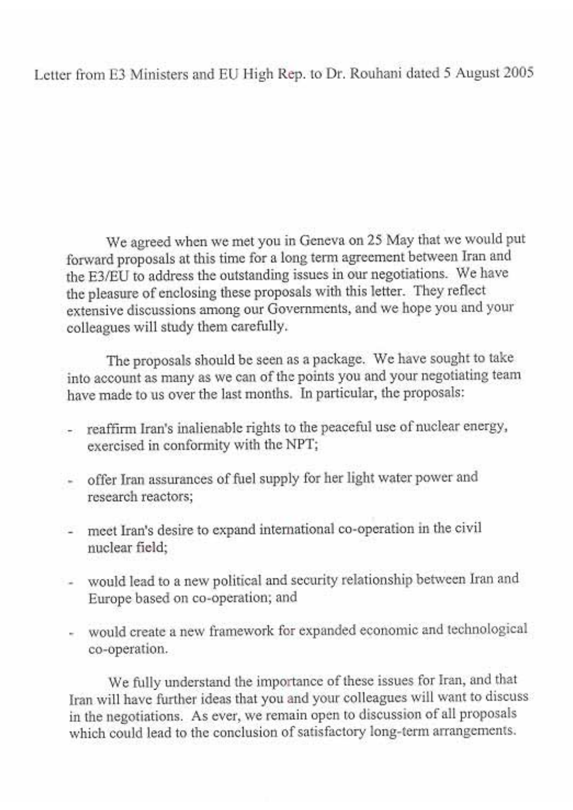## Letter from E3 Ministers and EU High Rep. to Dr. Rouhani dated 5 August 2005

We agreed when we met you in Geneva on 25 May that we would put forward proposals at this time for a long term agreement between Iran and the E3/EU to address the outstanding issues in our negotiations. We have the pleasure of enclosing these proposals with this letter. They reflect extensive discussions among our Governments, and we hope you and your colleagues will study them carefully.

The proposals should be seen as a package. We have sought to take into account as many as we can of the points you and your negotiating team have made to us over the last months. In particular, the proposals:

- reaffirm Iran's inalienable rights to the peaceful use of nuclear energy, exercised in conformity with the NPT;
- offer Iran assurances of fuel supply for her light water power and research reactors;
- meet Iran's desire to expand international co-operation in the civil nuclear field:
- would lead to a new political and security relationship between Iran and Europe based on co-operation; and
- would create a new framework for expanded economic and technological co-operation.

We fully understand the importance of these issues for Iran, and that Iran will have further ideas that you and your colleagues will want to discuss in the negotiations. As ever, we remain open to discussion of all proposals which could lead to the conclusion of satisfactory long-term arrangements.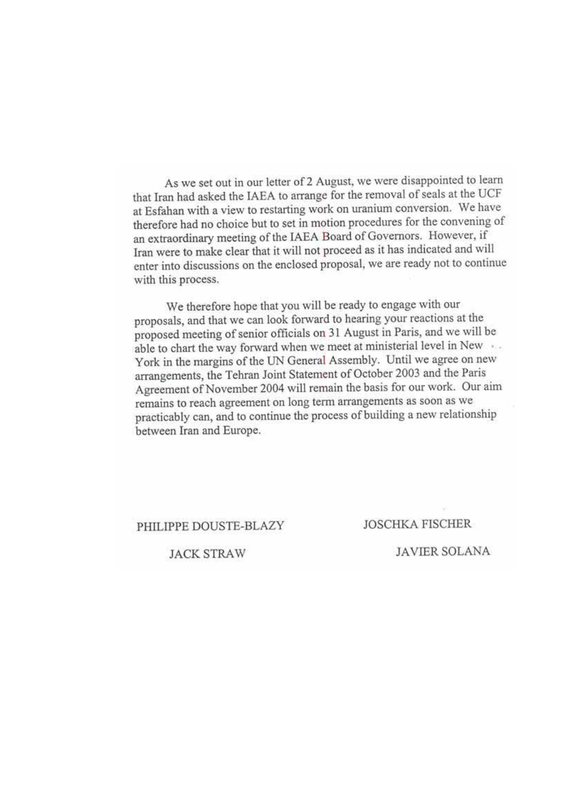As we set out in our letter of 2 August, we were disappointed to learn that Iran had asked the IAEA to arrange for the removal of seals at the UCF at Esfahan with a view to restarting work on uranium conversion. We have therefore had no choice but to set in motion procedures for the convening of an extraordinary meeting of the IAEA Board of Governors. However, if Iran were to make clear that it will not proceed as it has indicated and will enter into discussions on the enclosed proposal, we are ready not to continue with this process.

We therefore hope that you will be ready to engage with our proposals, and that we can look forward to hearing your reactions at the proposed meeting of senior officials on 31 August in Paris, and we will be able to chart the way forward when we meet at ministerial level in New ... York in the margins of the UN General Assembly. Until we agree on new arrangements, the Tehran Joint Statement of October 2003 and the Paris Agreement of November 2004 will remain the basis for our work. Our aim remains to reach agreement on long term arrangements as soon as we practicably can, and to continue the process of building a new relationship between Iran and Europe.

#### PHILIPPE DOUSTE-BLAZY

**JOSCHKA FISCHER** 

**JACK STRAW** 

**JAVIER SOLANA**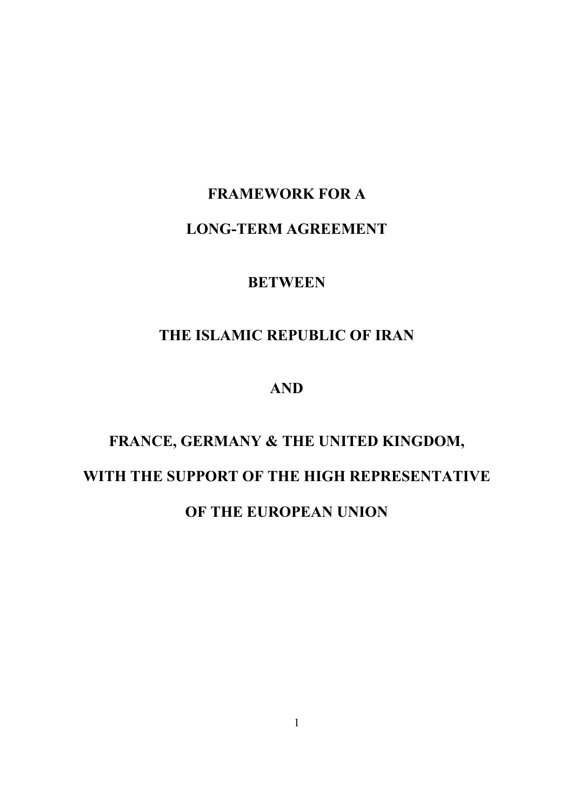### **FRAMEWORK FOR A**

### **LONG-TERM AGREEMENT**

### **BETWEEN**

## **THE ISLAMIC REPUBLIC OF IRAN**

### **AND**

# **FRANCE, GERMANY & THE UNITED KINGDOM, WITH THE SUPPORT OF THE HIGH REPRESENTATIVE OF THE EUROPEAN UNION**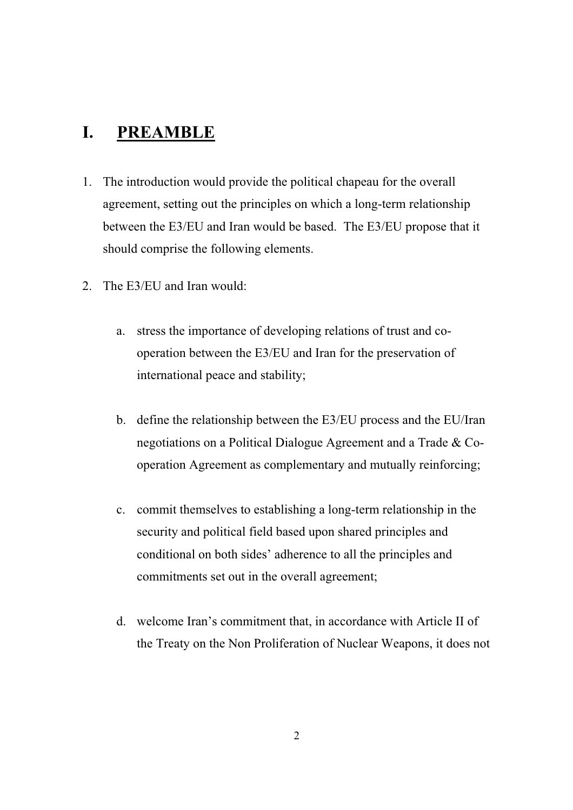## **I. PREAMBLE**

- 1. The introduction would provide the political chapeau for the overall agreement, setting out the principles on which a long-term relationship between the E3/EU and Iran would be based. The E3/EU propose that it should comprise the following elements.
- 2. The E3/EU and Iran would:
	- a. stress the importance of developing relations of trust and cooperation between the E3/EU and Iran for the preservation of international peace and stability;
	- b. define the relationship between the E3/EU process and the EU/Iran negotiations on a Political Dialogue Agreement and a Trade & Cooperation Agreement as complementary and mutually reinforcing;
	- c. commit themselves to establishing a long-term relationship in the security and political field based upon shared principles and conditional on both sides' adherence to all the principles and commitments set out in the overall agreement;
	- d. welcome Iran's commitment that, in accordance with Article II of the Treaty on the Non Proliferation of Nuclear Weapons, it does not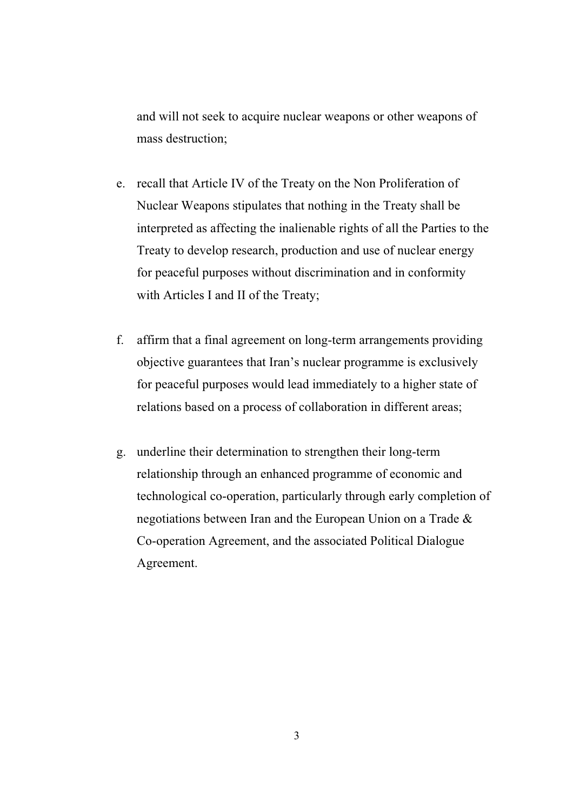and will not seek to acquire nuclear weapons or other weapons of mass destruction;

- e. recall that Article IV of the Treaty on the Non Proliferation of Nuclear Weapons stipulates that nothing in the Treaty shall be interpreted as affecting the inalienable rights of all the Parties to the Treaty to develop research, production and use of nuclear energy for peaceful purposes without discrimination and in conformity with Articles I and II of the Treaty;
- f. affirm that a final agreement on long-term arrangements providing objective guarantees that Iran's nuclear programme is exclusively for peaceful purposes would lead immediately to a higher state of relations based on a process of collaboration in different areas;
- g. underline their determination to strengthen their long-term relationship through an enhanced programme of economic and technological co-operation, particularly through early completion of negotiations between Iran and the European Union on a Trade & Co-operation Agreement, and the associated Political Dialogue Agreement.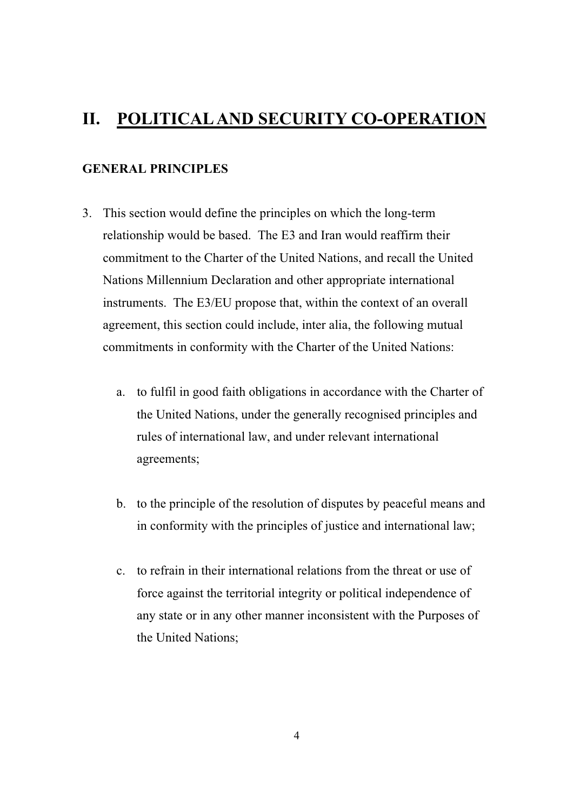### **II. POLITICAL AND SECURITY CO-OPERATION**

#### **GENERAL PRINCIPLES**

- 3. This section would define the principles on which the long-term relationship would be based. The E3 and Iran would reaffirm their commitment to the Charter of the United Nations, and recall the United Nations Millennium Declaration and other appropriate international instruments. The E3/EU propose that, within the context of an overall agreement, this section could include, inter alia, the following mutual commitments in conformity with the Charter of the United Nations:
	- a. to fulfil in good faith obligations in accordance with the Charter of the United Nations, under the generally recognised principles and rules of international law, and under relevant international agreements;
	- b. to the principle of the resolution of disputes by peaceful means and in conformity with the principles of justice and international law;
	- c. to refrain in their international relations from the threat or use of force against the territorial integrity or political independence of any state or in any other manner inconsistent with the Purposes of the United Nations;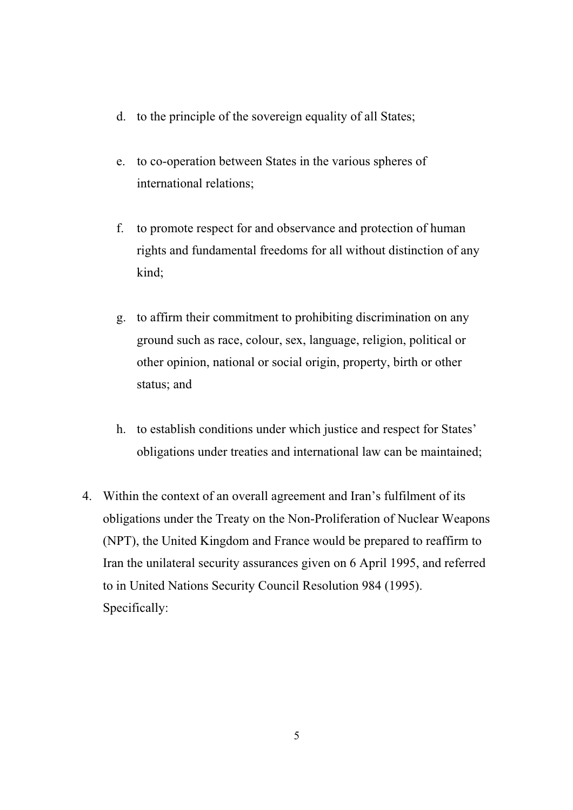- d. to the principle of the sovereign equality of all States;
- e. to co-operation between States in the various spheres of international relations;
- f. to promote respect for and observance and protection of human rights and fundamental freedoms for all without distinction of any kind;
- g. to affirm their commitment to prohibiting discrimination on any ground such as race, colour, sex, language, religion, political or other opinion, national or social origin, property, birth or other status; and
- h. to establish conditions under which justice and respect for States' obligations under treaties and international law can be maintained;
- 4. Within the context of an overall agreement and Iran's fulfilment of its obligations under the Treaty on the Non-Proliferation of Nuclear Weapons (NPT), the United Kingdom and France would be prepared to reaffirm to Iran the unilateral security assurances given on 6 April 1995, and referred to in United Nations Security Council Resolution 984 (1995). Specifically:

5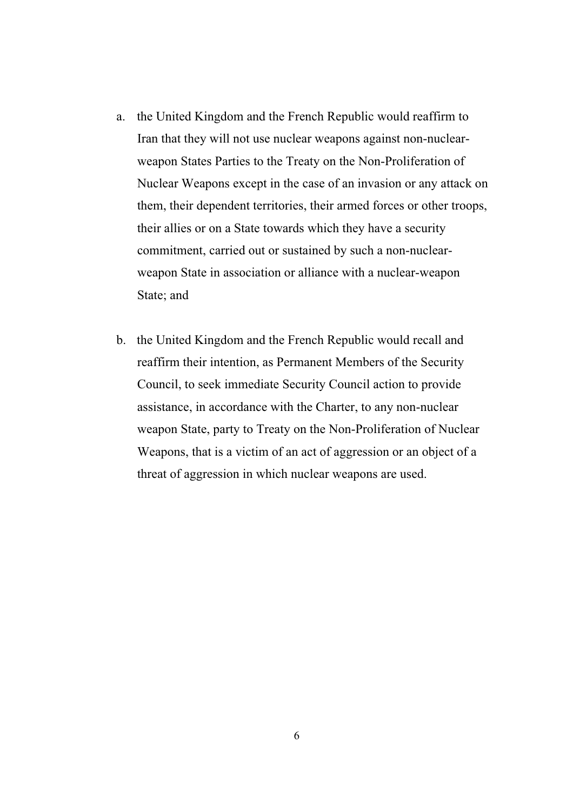- a. the United Kingdom and the French Republic would reaffirm to Iran that they will not use nuclear weapons against non-nuclearweapon States Parties to the Treaty on the Non-Proliferation of Nuclear Weapons except in the case of an invasion or any attack on them, their dependent territories, their armed forces or other troops, their allies or on a State towards which they have a security commitment, carried out or sustained by such a non-nuclearweapon State in association or alliance with a nuclear-weapon State; and
- b. the United Kingdom and the French Republic would recall and reaffirm their intention, as Permanent Members of the Security Council, to seek immediate Security Council action to provide assistance, in accordance with the Charter, to any non-nuclear weapon State, party to Treaty on the Non-Proliferation of Nuclear Weapons, that is a victim of an act of aggression or an object of a threat of aggression in which nuclear weapons are used.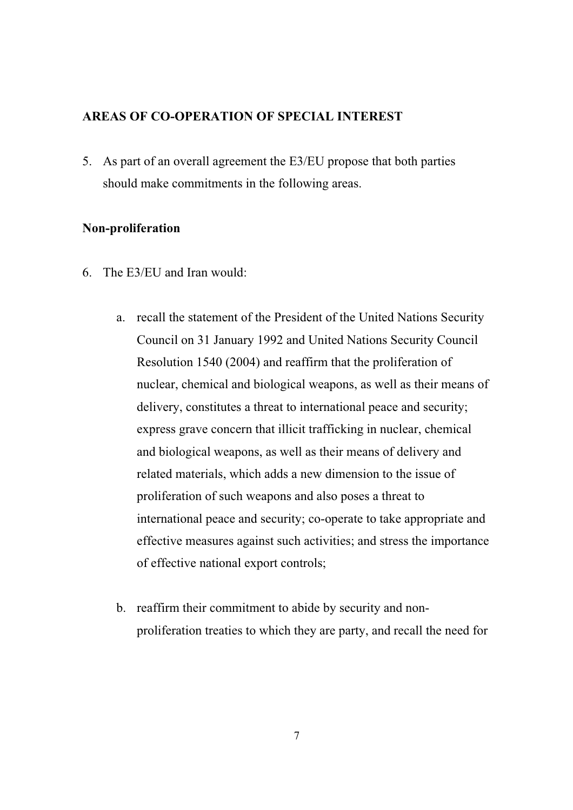#### **AREAS OF CO-OPERATION OF SPECIAL INTEREST**

5. As part of an overall agreement the E3/EU propose that both parties should make commitments in the following areas.

#### **Non-proliferation**

- 6. The E3/EU and Iran would:
	- a. recall the statement of the President of the United Nations Security Council on 31 January 1992 and United Nations Security Council Resolution 1540 (2004) and reaffirm that the proliferation of nuclear, chemical and biological weapons, as well as their means of delivery, constitutes a threat to international peace and security; express grave concern that illicit trafficking in nuclear, chemical and biological weapons, as well as their means of delivery and related materials, which adds a new dimension to the issue of proliferation of such weapons and also poses a threat to international peace and security; co-operate to take appropriate and effective measures against such activities; and stress the importance of effective national export controls;
	- b. reaffirm their commitment to abide by security and nonproliferation treaties to which they are party, and recall the need for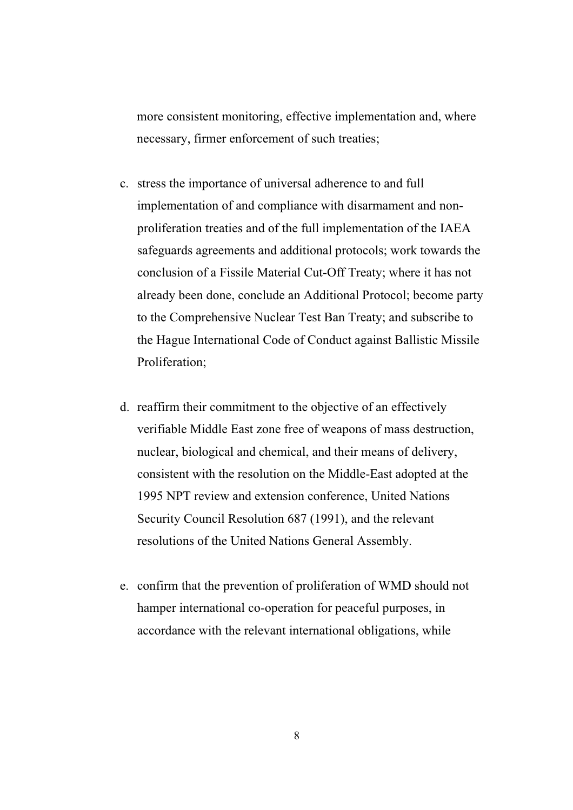more consistent monitoring, effective implementation and, where necessary, firmer enforcement of such treaties;

- c. stress the importance of universal adherence to and full implementation of and compliance with disarmament and nonproliferation treaties and of the full implementation of the IAEA safeguards agreements and additional protocols; work towards the conclusion of a Fissile Material Cut-Off Treaty; where it has not already been done, conclude an Additional Protocol; become party to the Comprehensive Nuclear Test Ban Treaty; and subscribe to the Hague International Code of Conduct against Ballistic Missile Proliferation;
- d. reaffirm their commitment to the objective of an effectively verifiable Middle East zone free of weapons of mass destruction, nuclear, biological and chemical, and their means of delivery, consistent with the resolution on the Middle-East adopted at the 1995 NPT review and extension conference, United Nations Security Council Resolution 687 (1991), and the relevant resolutions of the United Nations General Assembly.
- e. confirm that the prevention of proliferation of WMD should not hamper international co-operation for peaceful purposes, in accordance with the relevant international obligations, while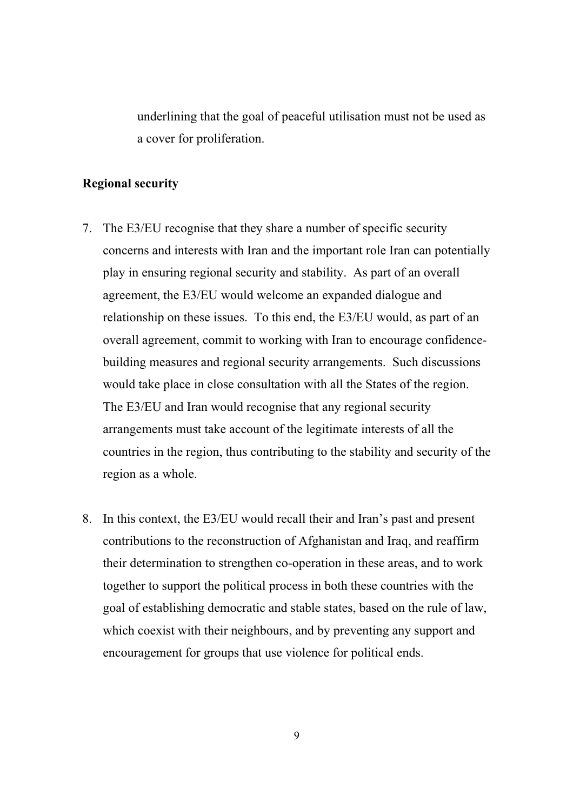underlining that the goal of peaceful utilisation must not be used as a cover for proliferation.

#### **Regional security**

- 7. The E3/EU recognise that they share a number of specific security concerns and interests with Iran and the important role Iran can potentially play in ensuring regional security and stability. As part of an overall agreement, the E3/EU would welcome an expanded dialogue and relationship on these issues. To this end, the E3/EU would, as part of an overall agreement, commit to working with Iran to encourage confidencebuilding measures and regional security arrangements. Such discussions would take place in close consultation with all the States of the region. The E3/EU and Iran would recognise that any regional security arrangements must take account of the legitimate interests of all the countries in the region, thus contributing to the stability and security of the region as a whole.
- 8. In this context, the E3/EU would recall their and Iran's past and present contributions to the reconstruction of Afghanistan and Iraq, and reaffirm their determination to strengthen co-operation in these areas, and to work together to support the political process in both these countries with the goal of establishing democratic and stable states, based on the rule of law, which coexist with their neighbours, and by preventing any support and encouragement for groups that use violence for political ends.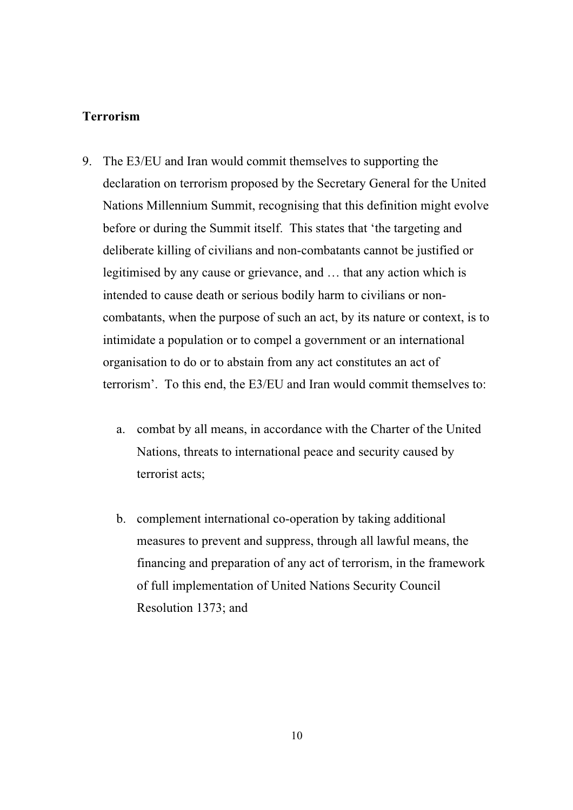#### **Terrorism**

- 9. The E3/EU and Iran would commit themselves to supporting the declaration on terrorism proposed by the Secretary General for the United Nations Millennium Summit, recognising that this definition might evolve before or during the Summit itself. This states that 'the targeting and deliberate killing of civilians and non-combatants cannot be justified or legitimised by any cause or grievance, and … that any action which is intended to cause death or serious bodily harm to civilians or noncombatants, when the purpose of such an act, by its nature or context, is to intimidate a population or to compel a government or an international organisation to do or to abstain from any act constitutes an act of terrorism'. To this end, the E3/EU and Iran would commit themselves to:
	- a. combat by all means, in accordance with the Charter of the United Nations, threats to international peace and security caused by terrorist acts;
	- b. complement international co-operation by taking additional measures to prevent and suppress, through all lawful means, the financing and preparation of any act of terrorism, in the framework of full implementation of United Nations Security Council Resolution 1373; and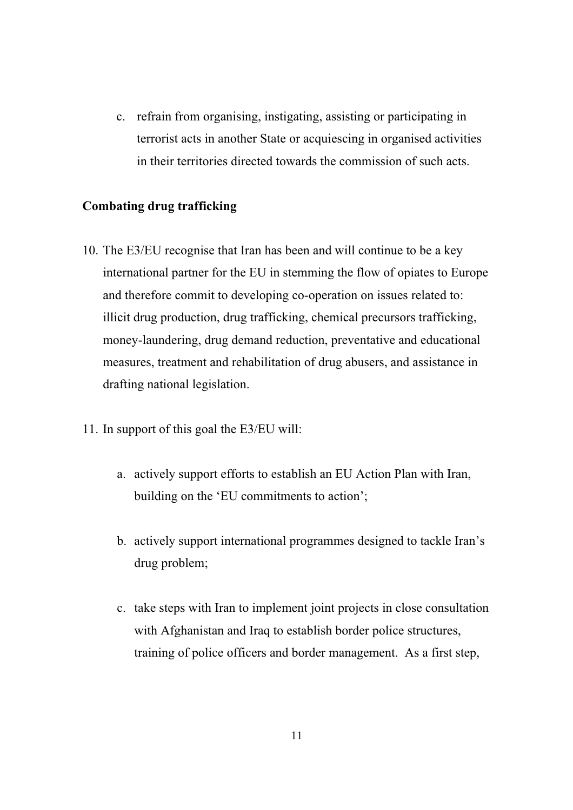c. refrain from organising, instigating, assisting or participating in terrorist acts in another State or acquiescing in organised activities in their territories directed towards the commission of such acts.

#### **Combating drug trafficking**

- 10. The E3/EU recognise that Iran has been and will continue to be a key international partner for the EU in stemming the flow of opiates to Europe and therefore commit to developing co-operation on issues related to: illicit drug production, drug trafficking, chemical precursors trafficking, money-laundering, drug demand reduction, preventative and educational measures, treatment and rehabilitation of drug abusers, and assistance in drafting national legislation.
- 11. In support of this goal the E3/EU will:
	- a. actively support efforts to establish an EU Action Plan with Iran, building on the 'EU commitments to action';
	- b. actively support international programmes designed to tackle Iran's drug problem;
	- c. take steps with Iran to implement joint projects in close consultation with Afghanistan and Iraq to establish border police structures, training of police officers and border management. As a first step,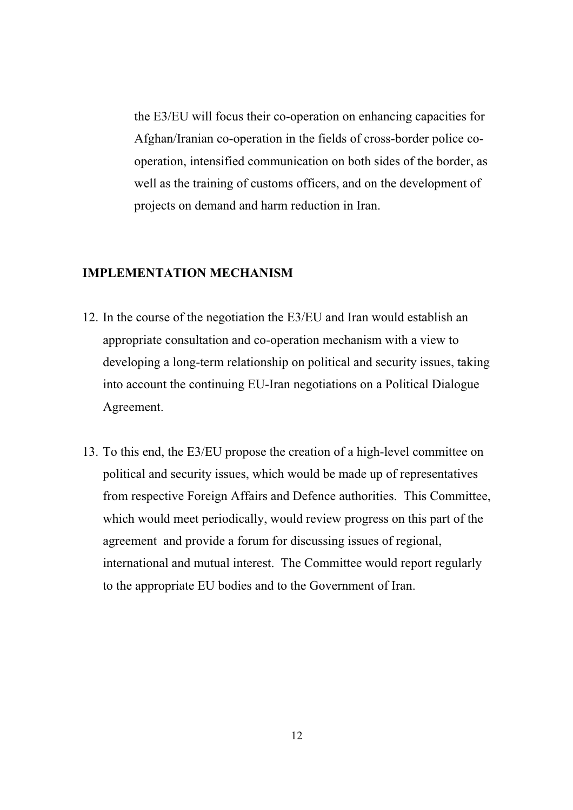the E3/EU will focus their co-operation on enhancing capacities for Afghan/Iranian co-operation in the fields of cross-border police cooperation, intensified communication on both sides of the border, as well as the training of customs officers, and on the development of projects on demand and harm reduction in Iran.

#### **IMPLEMENTATION MECHANISM**

- 12. In the course of the negotiation the E3/EU and Iran would establish an appropriate consultation and co-operation mechanism with a view to developing a long-term relationship on political and security issues, taking into account the continuing EU-Iran negotiations on a Political Dialogue Agreement.
- 13. To this end, the E3/EU propose the creation of a high-level committee on political and security issues, which would be made up of representatives from respective Foreign Affairs and Defence authorities. This Committee, which would meet periodically, would review progress on this part of the agreement and provide a forum for discussing issues of regional, international and mutual interest. The Committee would report regularly to the appropriate EU bodies and to the Government of Iran.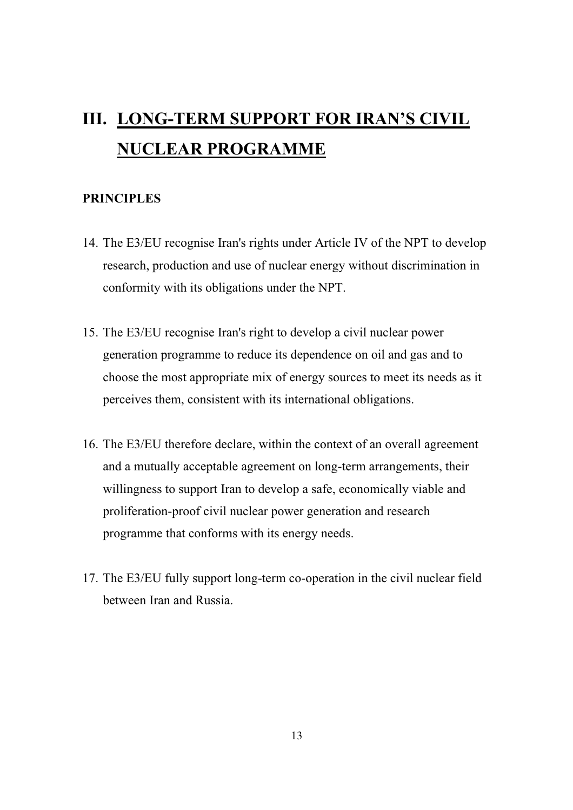# III. LONG-TERM SUPPORT FOR IRAN'S CIVIL **NUCLEAR PROGRAMME**

#### **PRINCIPLES**

- 14. The E3/EU recognise Iran's rights under Article IV of the NPT to develop research, production and use of nuclear energy without discrimination in conformity with its obligations under the NPT.
- 15. The E3/EU recognise Iran's right to develop a civil nuclear power generation programme to reduce its dependence on oil and gas and to choose the most appropriate mix of energy sources to meet its needs as it perceives them, consistent with its international obligations.
- 16. The E3/EU therefore declare, within the context of an overall agreement and a mutually acceptable agreement on long-term arrangements, their willingness to support Iran to develop a safe, economically viable and proliferation-proof civil nuclear power generation and research programme that conforms with its energy needs.
- 17. The E3/EU fully support long-term co-operation in the civil nuclear field between Iran and Russia.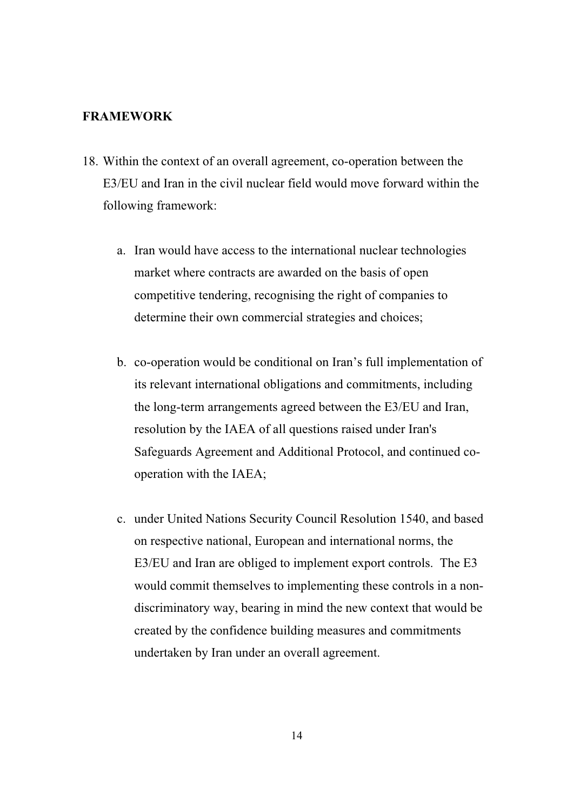#### **FRAMEWORK**

- 18. Within the context of an overall agreement, co-operation between the E3/EU and Iran in the civil nuclear field would move forward within the following framework:
	- a. Iran would have access to the international nuclear technologies market where contracts are awarded on the basis of open competitive tendering, recognising the right of companies to determine their own commercial strategies and choices;
	- b. co-operation would be conditional on Iran's full implementation of its relevant international obligations and commitments, including the long-term arrangements agreed between the E3/EU and Iran, resolution by the IAEA of all questions raised under Iran's Safeguards Agreement and Additional Protocol, and continued cooperation with the IAEA;
	- c. under United Nations Security Council Resolution 1540, and based on respective national, European and international norms, the E3/EU and Iran are obliged to implement export controls. The E3 would commit themselves to implementing these controls in a nondiscriminatory way, bearing in mind the new context that would be created by the confidence building measures and commitments undertaken by Iran under an overall agreement.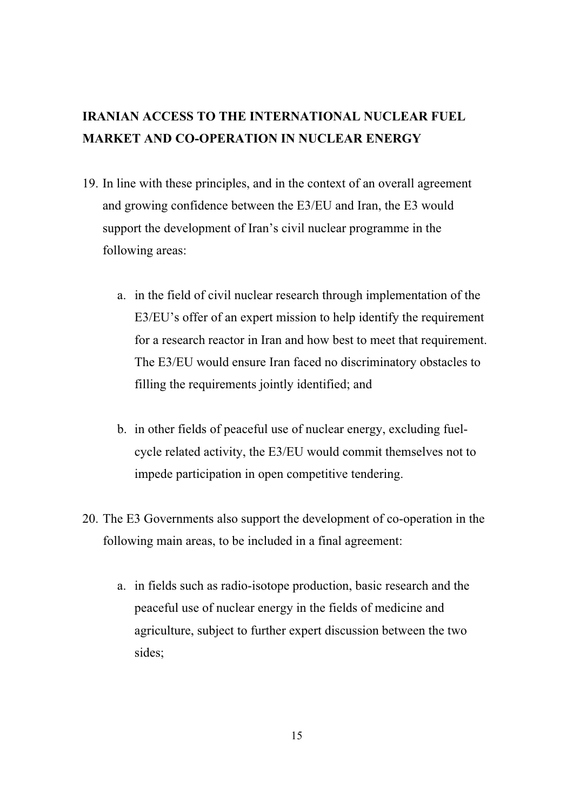## **IRANIAN ACCESS TO THE INTERNATIONAL NUCLEAR FUEL MARKET AND CO-OPERATION IN NUCLEAR ENERGY**

- 19. In line with these principles, and in the context of an overall agreement and growing confidence between the E3/EU and Iran, the E3 would support the development of Iran's civil nuclear programme in the following areas:
	- a. in the field of civil nuclear research through implementation of the E3/EU's offer of an expert mission to help identify the requirement for a research reactor in Iran and how best to meet that requirement. The E3/EU would ensure Iran faced no discriminatory obstacles to filling the requirements jointly identified; and
	- b. in other fields of peaceful use of nuclear energy, excluding fuelcycle related activity, the E3/EU would commit themselves not to impede participation in open competitive tendering.
- 20. The E3 Governments also support the development of co-operation in the following main areas, to be included in a final agreement:
	- a. in fields such as radio-isotope production, basic research and the peaceful use of nuclear energy in the fields of medicine and agriculture, subject to further expert discussion between the two sides;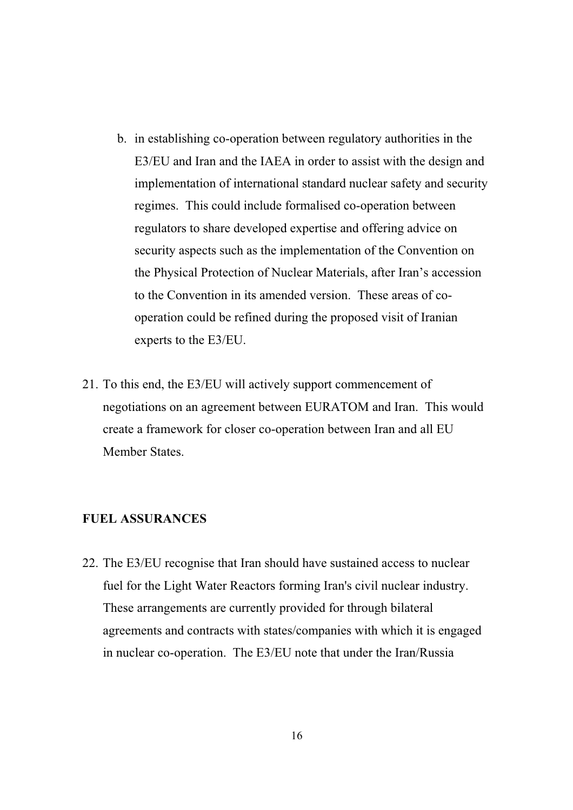- b. in establishing co-operation between regulatory authorities in the E3/EU and Iran and the IAEA in order to assist with the design and implementation of international standard nuclear safety and security regimes. This could include formalised co-operation between regulators to share developed expertise and offering advice on security aspects such as the implementation of the Convention on the Physical Protection of Nuclear Materials, after Iran's accession to the Convention in its amended version. These areas of cooperation could be refined during the proposed visit of Iranian experts to the E3/EU.
- 21. To this end, the E3/EU will actively support commencement of negotiations on an agreement between EURATOM and Iran. This would create a framework for closer co-operation between Iran and all EU Member States.

#### **FUEL ASSURANCES**

22. The E3/EU recognise that Iran should have sustained access to nuclear fuel for the Light Water Reactors forming Iran's civil nuclear industry. These arrangements are currently provided for through bilateral agreements and contracts with states/companies with which it is engaged in nuclear co-operation. The E3/EU note that under the Iran/Russia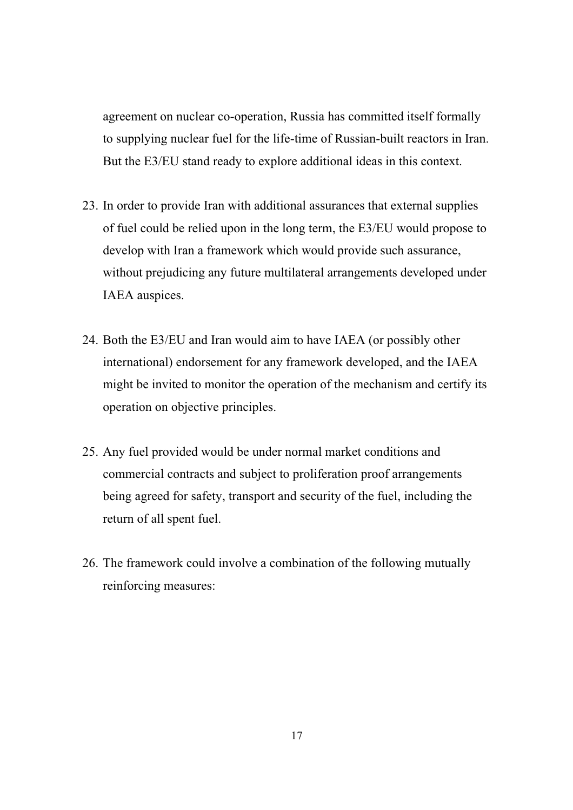agreement on nuclear co-operation, Russia has committed itself formally to supplying nuclear fuel for the life-time of Russian-built reactors in Iran. But the E3/EU stand ready to explore additional ideas in this context.

- 23. In order to provide Iran with additional assurances that external supplies of fuel could be relied upon in the long term, the E3/EU would propose to develop with Iran a framework which would provide such assurance, without prejudicing any future multilateral arrangements developed under IAEA auspices.
- 24. Both the E3/EU and Iran would aim to have IAEA (or possibly other international) endorsement for any framework developed, and the IAEA might be invited to monitor the operation of the mechanism and certify its operation on objective principles.
- 25. Any fuel provided would be under normal market conditions and commercial contracts and subject to proliferation proof arrangements being agreed for safety, transport and security of the fuel, including the return of all spent fuel.
- 26. The framework could involve a combination of the following mutually reinforcing measures: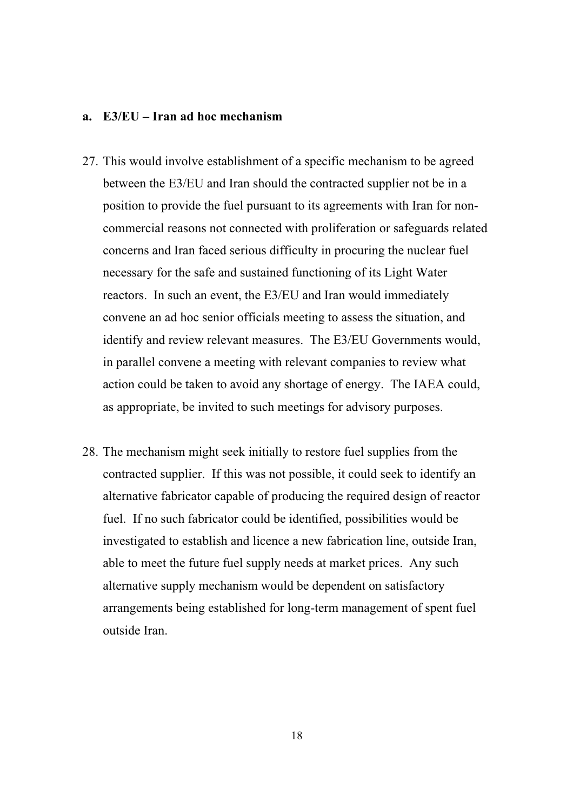#### **a. E3/EU – Iran ad hoc mechanism**

- 27. This would involve establishment of a specific mechanism to be agreed between the E3/EU and Iran should the contracted supplier not be in a position to provide the fuel pursuant to its agreements with Iran for noncommercial reasons not connected with proliferation or safeguards related concerns and Iran faced serious difficulty in procuring the nuclear fuel necessary for the safe and sustained functioning of its Light Water reactors. In such an event, the E3/EU and Iran would immediately convene an ad hoc senior officials meeting to assess the situation, and identify and review relevant measures. The E3/EU Governments would, in parallel convene a meeting with relevant companies to review what action could be taken to avoid any shortage of energy. The IAEA could, as appropriate, be invited to such meetings for advisory purposes.
- 28. The mechanism might seek initially to restore fuel supplies from the contracted supplier. If this was not possible, it could seek to identify an alternative fabricator capable of producing the required design of reactor fuel. If no such fabricator could be identified, possibilities would be investigated to establish and licence a new fabrication line, outside Iran, able to meet the future fuel supply needs at market prices. Any such alternative supply mechanism would be dependent on satisfactory arrangements being established for long-term management of spent fuel outside Iran.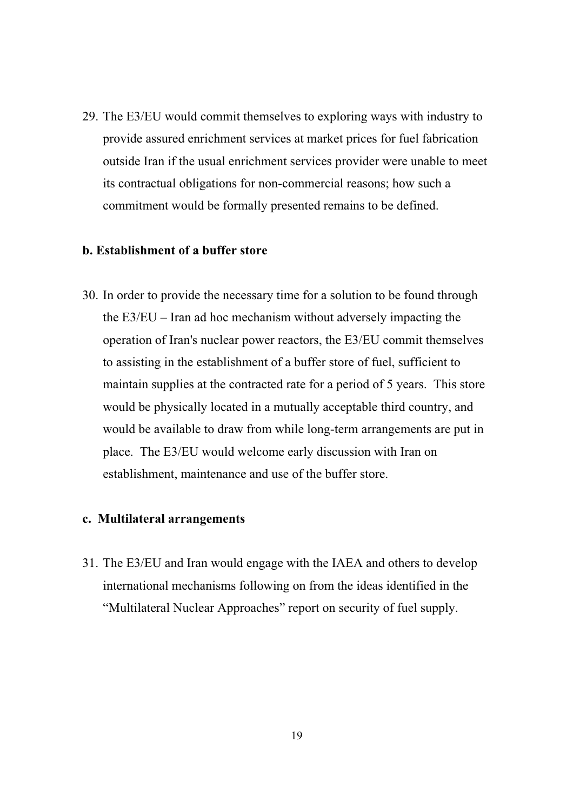29. The E3/EU would commit themselves to exploring ways with industry to provide assured enrichment services at market prices for fuel fabrication outside Iran if the usual enrichment services provider were unable to meet its contractual obligations for non-commercial reasons; how such a commitment would be formally presented remains to be defined.

#### **b. Establishment of a buffer store**

30. In order to provide the necessary time for a solution to be found through the E3/EU – Iran ad hoc mechanism without adversely impacting the operation of Iran's nuclear power reactors, the E3/EU commit themselves to assisting in the establishment of a buffer store of fuel, sufficient to maintain supplies at the contracted rate for a period of 5 years. This store would be physically located in a mutually acceptable third country, and would be available to draw from while long-term arrangements are put in place. The E3/EU would welcome early discussion with Iran on establishment, maintenance and use of the buffer store.

#### **c. Multilateral arrangements**

31. The E3/EU and Iran would engage with the IAEA and others to develop international mechanisms following on from the ideas identified in the "Multilateral Nuclear Approaches" report on security of fuel supply.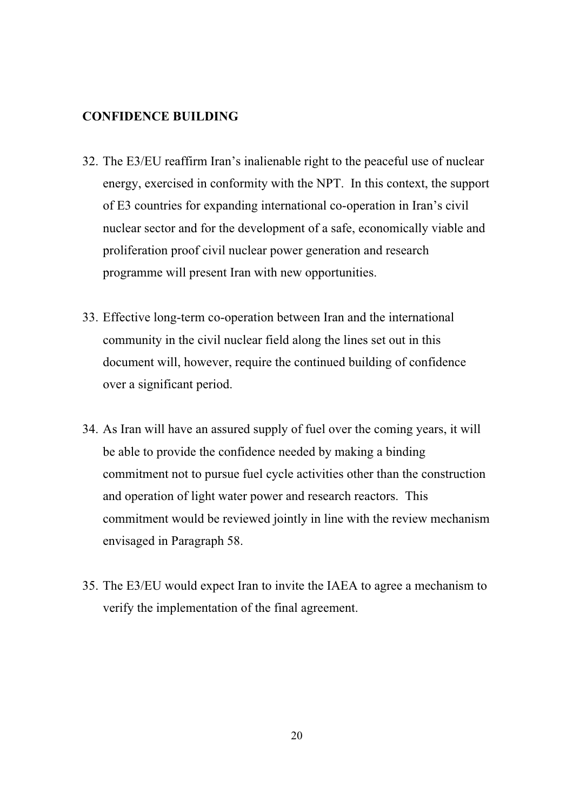#### **CONFIDENCE BUILDING**

- 32. The E3/EU reaffirm Iran's inalienable right to the peaceful use of nuclear energy, exercised in conformity with the NPT. In this context, the support of E3 countries for expanding international co-operation in Iran's civil nuclear sector and for the development of a safe, economically viable and proliferation proof civil nuclear power generation and research programme will present Iran with new opportunities.
- 33. Effective long-term co-operation between Iran and the international community in the civil nuclear field along the lines set out in this document will, however, require the continued building of confidence over a significant period.
- 34. As Iran will have an assured supply of fuel over the coming years, it will be able to provide the confidence needed by making a binding commitment not to pursue fuel cycle activities other than the construction and operation of light water power and research reactors. This commitment would be reviewed jointly in line with the review mechanism envisaged in Paragraph 58.
- 35. The E3/EU would expect Iran to invite the IAEA to agree a mechanism to verify the implementation of the final agreement.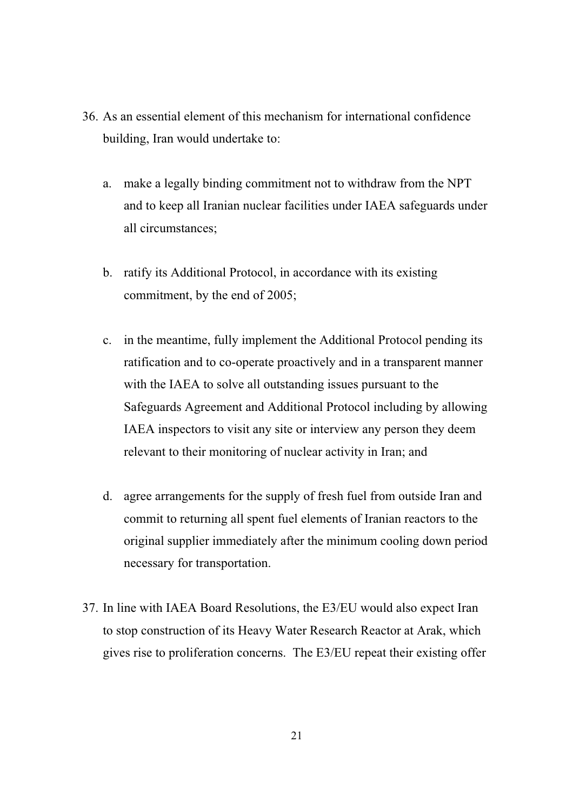- 36. As an essential element of this mechanism for international confidence building, Iran would undertake to:
	- a. make a legally binding commitment not to withdraw from the NPT and to keep all Iranian nuclear facilities under IAEA safeguards under all circumstances;
	- b. ratify its Additional Protocol, in accordance with its existing commitment, by the end of 2005;
	- c. in the meantime, fully implement the Additional Protocol pending its ratification and to co-operate proactively and in a transparent manner with the IAEA to solve all outstanding issues pursuant to the Safeguards Agreement and Additional Protocol including by allowing IAEA inspectors to visit any site or interview any person they deem relevant to their monitoring of nuclear activity in Iran; and
	- d. agree arrangements for the supply of fresh fuel from outside Iran and commit to returning all spent fuel elements of Iranian reactors to the original supplier immediately after the minimum cooling down period necessary for transportation.
- 37. In line with IAEA Board Resolutions, the E3/EU would also expect Iran to stop construction of its Heavy Water Research Reactor at Arak, which gives rise to proliferation concerns. The E3/EU repeat their existing offer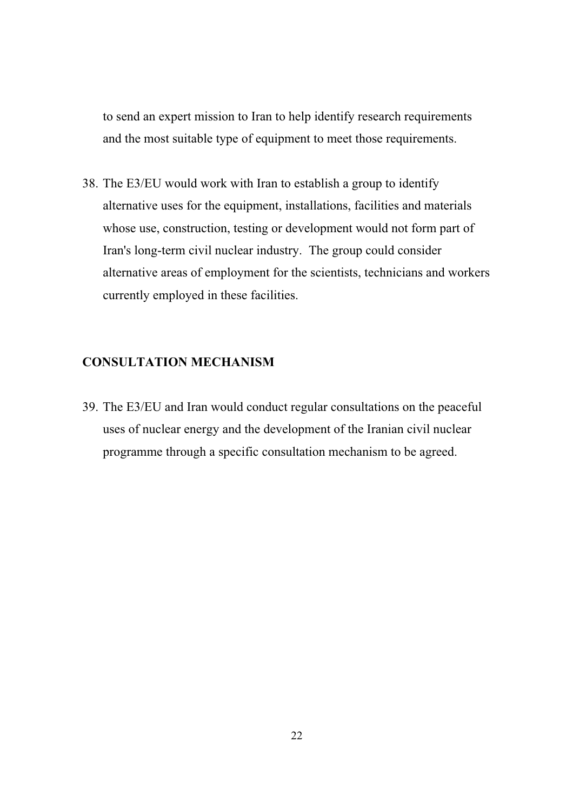to send an expert mission to Iran to help identify research requirements and the most suitable type of equipment to meet those requirements.

38. The E3/EU would work with Iran to establish a group to identify alternative uses for the equipment, installations, facilities and materials whose use, construction, testing or development would not form part of Iran's long-term civil nuclear industry. The group could consider alternative areas of employment for the scientists, technicians and workers currently employed in these facilities.

#### **CONSULTATION MECHANISM**

39. The E3/EU and Iran would conduct regular consultations on the peaceful uses of nuclear energy and the development of the Iranian civil nuclear programme through a specific consultation mechanism to be agreed.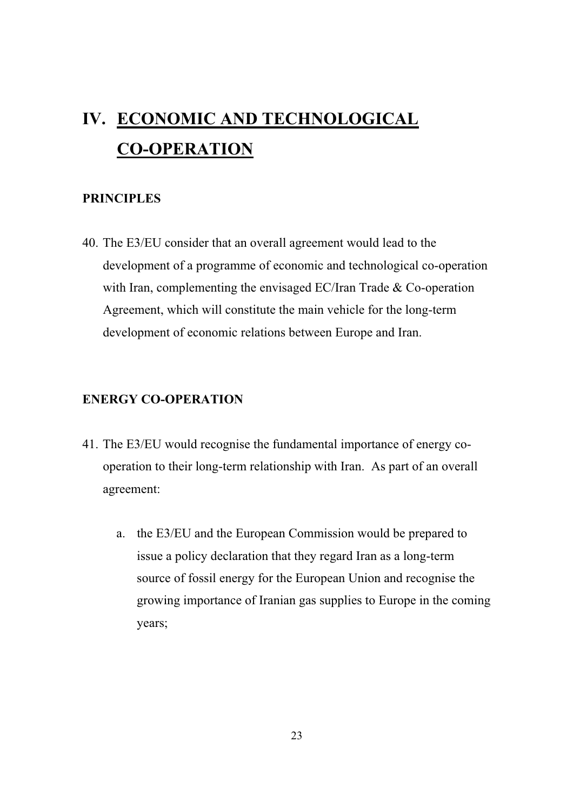# **IV. ECONOMIC AND TECHNOLOGICAL CO-OPERATION**

#### **PRINCIPLES**

40. The E3/EU consider that an overall agreement would lead to the development of a programme of economic and technological co-operation with Iran, complementing the envisaged EC/Iran Trade & Co-operation Agreement, which will constitute the main vehicle for the long-term development of economic relations between Europe and Iran.

#### **ENERGY CO-OPERATION**

- 41. The E3/EU would recognise the fundamental importance of energy cooperation to their long-term relationship with Iran. As part of an overall agreement:
	- a. the E3/EU and the European Commission would be prepared to issue a policy declaration that they regard Iran as a long-term source of fossil energy for the European Union and recognise the growing importance of Iranian gas supplies to Europe in the coming years;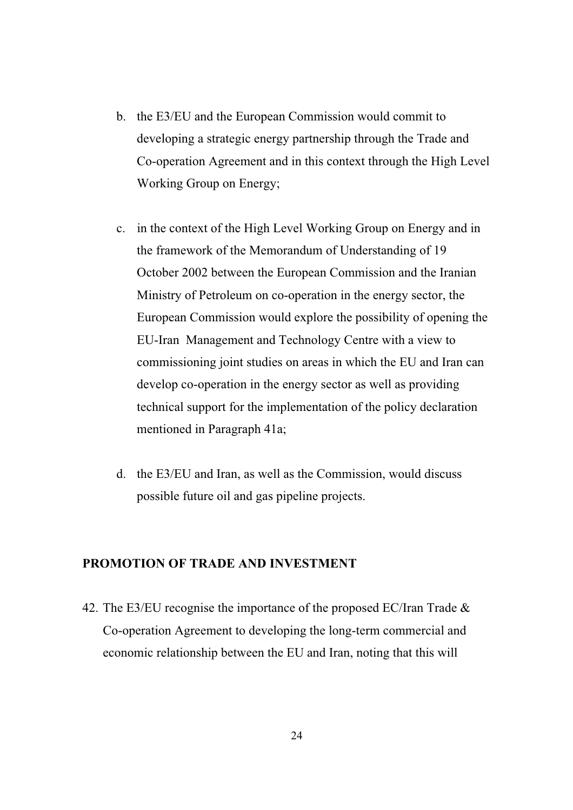- b. the E3/EU and the European Commission would commit to developing a strategic energy partnership through the Trade and Co-operation Agreement and in this context through the High Level Working Group on Energy;
- c. in the context of the High Level Working Group on Energy and in the framework of the Memorandum of Understanding of 19 October 2002 between the European Commission and the Iranian Ministry of Petroleum on co-operation in the energy sector, the European Commission would explore the possibility of opening the EU-Iran Management and Technology Centre with a view to commissioning joint studies on areas in which the EU and Iran can develop co-operation in the energy sector as well as providing technical support for the implementation of the policy declaration mentioned in Paragraph 41a;
- d. the E3/EU and Iran, as well as the Commission, would discuss possible future oil and gas pipeline projects.

#### **PROMOTION OF TRADE AND INVESTMENT**

42. The E3/EU recognise the importance of the proposed EC/Iran Trade  $\&$ Co-operation Agreement to developing the long-term commercial and economic relationship between the EU and Iran, noting that this will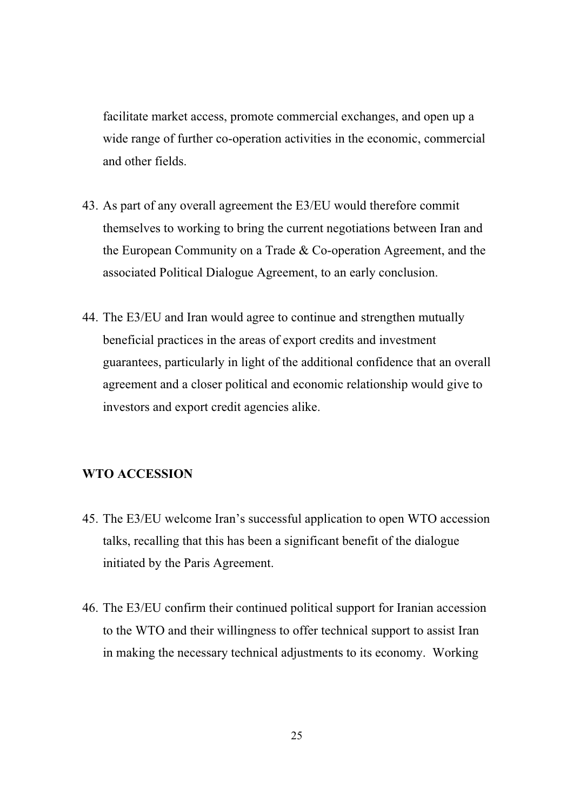facilitate market access, promote commercial exchanges, and open up a wide range of further co-operation activities in the economic, commercial and other fields.

- 43. As part of any overall agreement the E3/EU would therefore commit themselves to working to bring the current negotiations between Iran and the European Community on a Trade & Co-operation Agreement, and the associated Political Dialogue Agreement, to an early conclusion.
- 44. The E3/EU and Iran would agree to continue and strengthen mutually beneficial practices in the areas of export credits and investment guarantees, particularly in light of the additional confidence that an overall agreement and a closer political and economic relationship would give to investors and export credit agencies alike.

#### **WTO ACCESSION**

- 45. The E3/EU welcome Iran's successful application to open WTO accession talks, recalling that this has been a significant benefit of the dialogue initiated by the Paris Agreement.
- 46. The E3/EU confirm their continued political support for Iranian accession to the WTO and their willingness to offer technical support to assist Iran in making the necessary technical adjustments to its economy. Working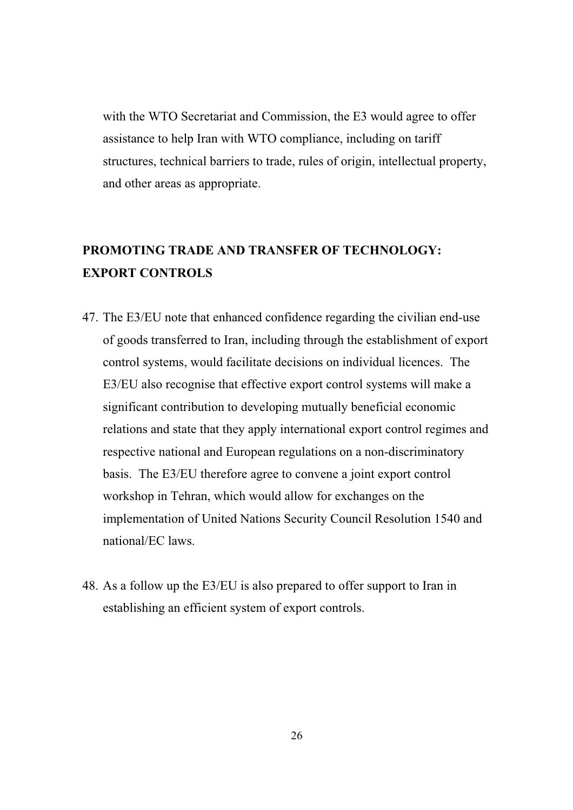with the WTO Secretariat and Commission, the E3 would agree to offer assistance to help Iran with WTO compliance, including on tariff structures, technical barriers to trade, rules of origin, intellectual property, and other areas as appropriate.

## **PROMOTING TRADE AND TRANSFER OF TECHNOLOGY: EXPORT CONTROLS**

- 47. The E3/EU note that enhanced confidence regarding the civilian end-use of goods transferred to Iran, including through the establishment of export control systems, would facilitate decisions on individual licences. The E3/EU also recognise that effective export control systems will make a significant contribution to developing mutually beneficial economic relations and state that they apply international export control regimes and respective national and European regulations on a non-discriminatory basis. The E3/EU therefore agree to convene a joint export control workshop in Tehran, which would allow for exchanges on the implementation of United Nations Security Council Resolution 1540 and national/EC laws.
- 48. As a follow up the E3/EU is also prepared to offer support to Iran in establishing an efficient system of export controls.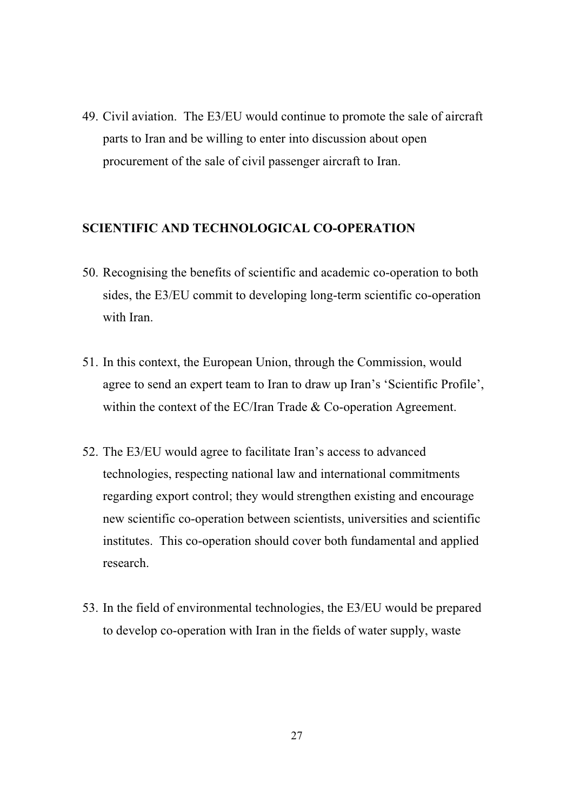49. Civil aviation. The E3/EU would continue to promote the sale of aircraft parts to Iran and be willing to enter into discussion about open procurement of the sale of civil passenger aircraft to Iran.

#### **SCIENTIFIC AND TECHNOLOGICAL CO-OPERATION**

- 50. Recognising the benefits of scientific and academic co-operation to both sides, the E3/EU commit to developing long-term scientific co-operation with Iran.
- 51. In this context, the European Union, through the Commission, would agree to send an expert team to Iran to draw up Iran's 'Scientific Profile', within the context of the EC/Iran Trade & Co-operation Agreement.
- 52. The E3/EU would agree to facilitate Iran's access to advanced technologies, respecting national law and international commitments regarding export control; they would strengthen existing and encourage new scientific co-operation between scientists, universities and scientific institutes. This co-operation should cover both fundamental and applied research.
- 53. In the field of environmental technologies, the E3/EU would be prepared to develop co-operation with Iran in the fields of water supply, waste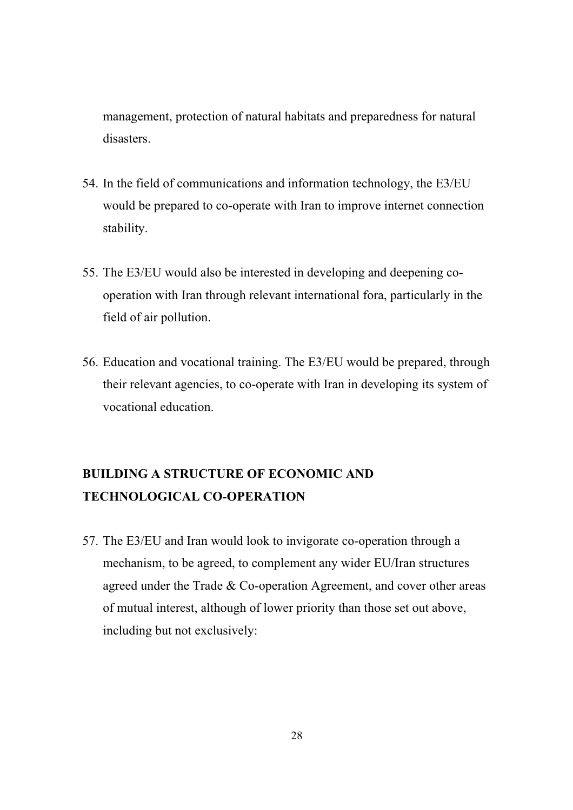management, protection of natural habitats and preparedness for natural disasters.

- 54. In the field of communications and information technology, the E3/EU would be prepared to co-operate with Iran to improve internet connection stability.
- 55. The E3/EU would also be interested in developing and deepening cooperation with Iran through relevant international fora, particularly in the field of air pollution.
- 56. Education and vocational training. The E3/EU would be prepared, through their relevant agencies, to co-operate with Iran in developing its system of vocational education.

## **BUILDING A STRUCTURE OF ECONOMIC AND TECHNOLOGICAL CO-OPERATION**

57. The E3/EU and Iran would look to invigorate co-operation through a mechanism, to be agreed, to complement any wider EU/Iran structures agreed under the Trade & Co-operation Agreement, and cover other areas of mutual interest, although of lower priority than those set out above, including but not exclusively: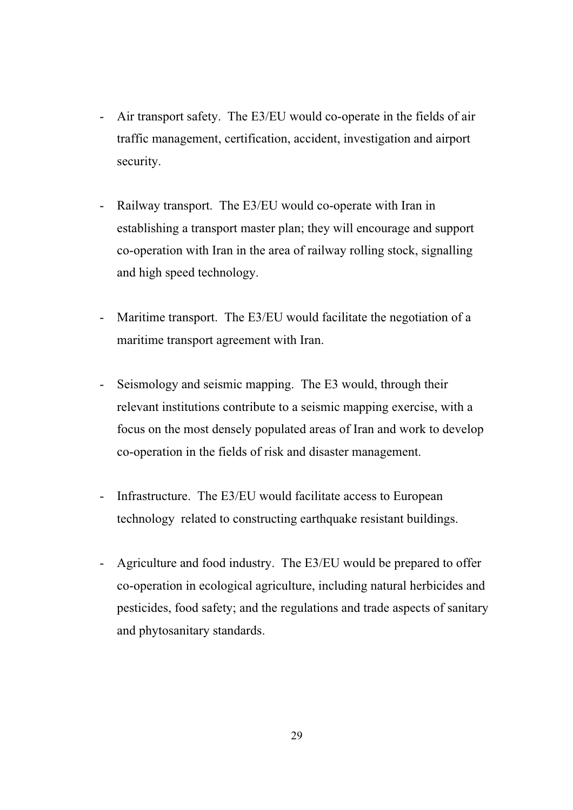- Air transport safety. The E3/EU would co-operate in the fields of air traffic management, certification, accident, investigation and airport security.
- Railway transport. The E3/EU would co-operate with Iran in establishing a transport master plan; they will encourage and support co-operation with Iran in the area of railway rolling stock, signalling and high speed technology.
- Maritime transport. The E3/EU would facilitate the negotiation of a maritime transport agreement with Iran.
- Seismology and seismic mapping. The E3 would, through their relevant institutions contribute to a seismic mapping exercise, with a focus on the most densely populated areas of Iran and work to develop co-operation in the fields of risk and disaster management.
- Infrastructure. The E3/EU would facilitate access to European technology related to constructing earthquake resistant buildings.
- Agriculture and food industry. The E3/EU would be prepared to offer co-operation in ecological agriculture, including natural herbicides and pesticides, food safety; and the regulations and trade aspects of sanitary and phytosanitary standards.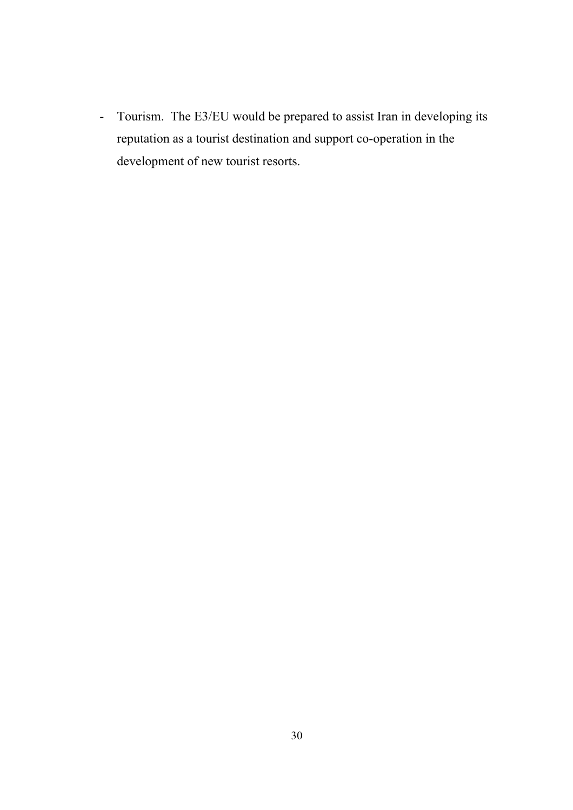- Tourism. The E3/EU would be prepared to assist Iran in developing its reputation as a tourist destination and support co-operation in the development of new tourist resorts.